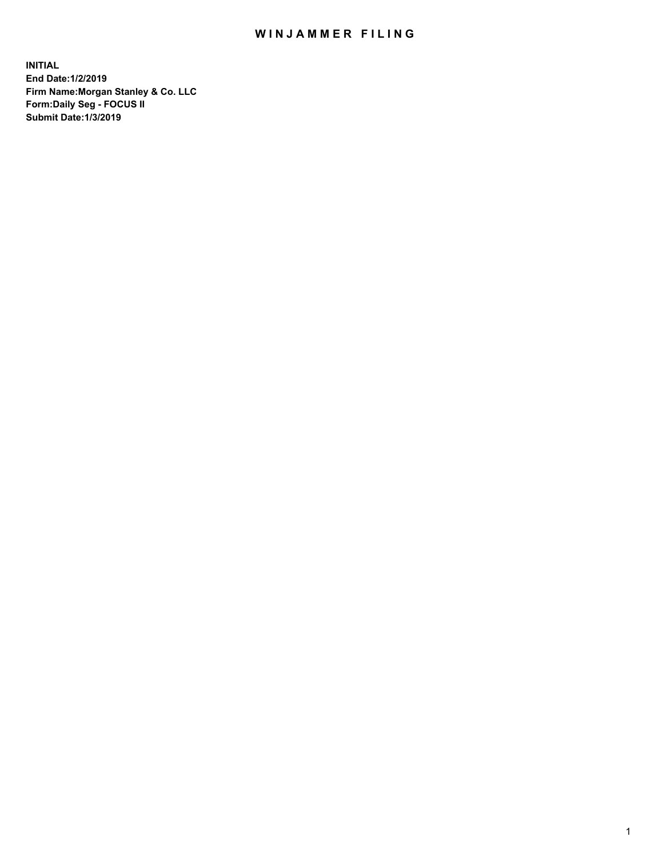## WIN JAMMER FILING

**INITIAL End Date:1/2/2019 Firm Name:Morgan Stanley & Co. LLC Form:Daily Seg - FOCUS II Submit Date:1/3/2019**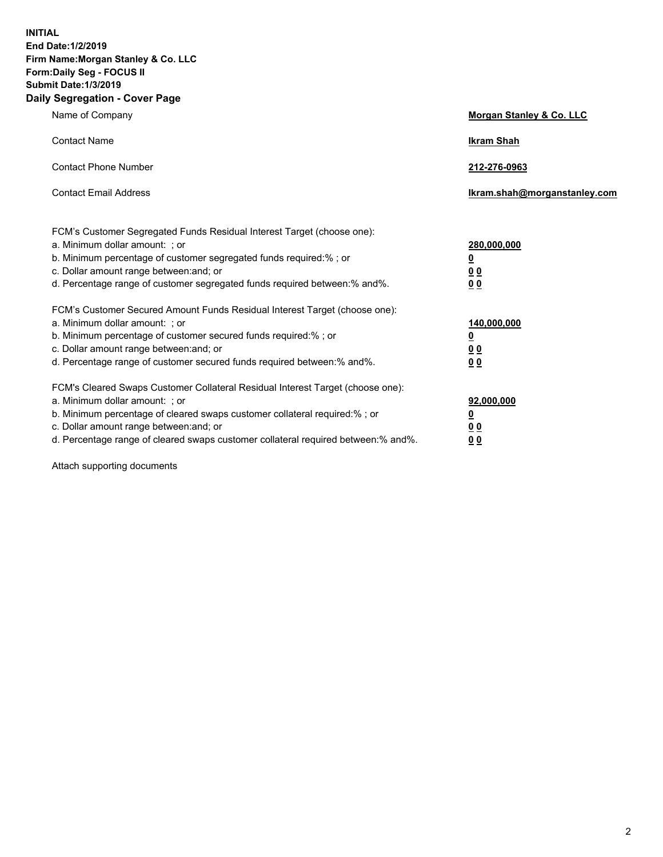**INITIAL End Date:1/2/2019 Firm Name:Morgan Stanley & Co. LLC Form:Daily Seg - FOCUS II Submit Date:1/3/2019 Daily Segregation - Cover Page**

| Name of Company                                                                                                                                                                                                                                                                                                                | Morgan Stanley & Co. LLC                                    |
|--------------------------------------------------------------------------------------------------------------------------------------------------------------------------------------------------------------------------------------------------------------------------------------------------------------------------------|-------------------------------------------------------------|
| <b>Contact Name</b>                                                                                                                                                                                                                                                                                                            | <b>Ikram Shah</b>                                           |
| <b>Contact Phone Number</b>                                                                                                                                                                                                                                                                                                    | 212-276-0963                                                |
| <b>Contact Email Address</b>                                                                                                                                                                                                                                                                                                   | Ikram.shah@morganstanley.com                                |
| FCM's Customer Segregated Funds Residual Interest Target (choose one):<br>a. Minimum dollar amount: ; or<br>b. Minimum percentage of customer segregated funds required:% ; or<br>c. Dollar amount range between: and; or<br>d. Percentage range of customer segregated funds required between: % and %.                       | 280,000,000<br><u>0</u><br>00<br>0 <sub>0</sub>             |
| FCM's Customer Secured Amount Funds Residual Interest Target (choose one):<br>a. Minimum dollar amount: ; or<br>b. Minimum percentage of customer secured funds required:%; or<br>c. Dollar amount range between: and; or<br>d. Percentage range of customer secured funds required between:% and%.                            | 140,000,000<br><u>0</u><br>0 <sub>0</sub><br>0 <sub>0</sub> |
| FCM's Cleared Swaps Customer Collateral Residual Interest Target (choose one):<br>a. Minimum dollar amount: ; or<br>b. Minimum percentage of cleared swaps customer collateral required:% ; or<br>c. Dollar amount range between: and; or<br>d. Percentage range of cleared swaps customer collateral required between:% and%. | 92,000,000<br><u>0</u><br><u>00</u><br>00                   |

Attach supporting documents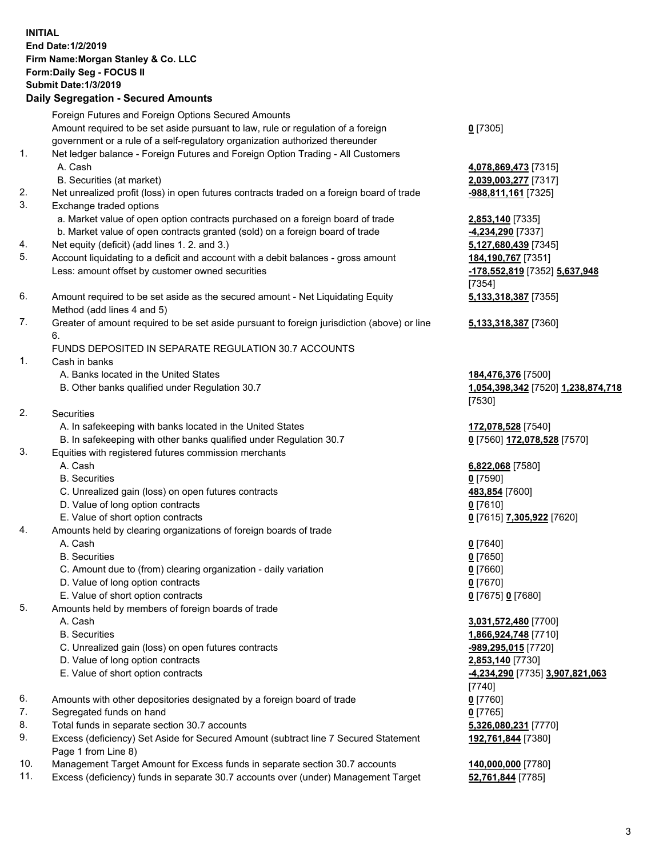|          | <b>INITIAL</b><br>End Date: 1/2/2019<br>Firm Name: Morgan Stanley & Co. LLC<br>Form: Daily Seg - FOCUS II<br><b>Submit Date: 1/3/2019</b><br><b>Daily Segregation - Secured Amounts</b> |                                                               |
|----------|-----------------------------------------------------------------------------------------------------------------------------------------------------------------------------------------|---------------------------------------------------------------|
|          | Foreign Futures and Foreign Options Secured Amounts<br>Amount required to be set aside pursuant to law, rule or regulation of a foreign                                                 | $0$ [7305]                                                    |
| 1.       | government or a rule of a self-regulatory organization authorized thereunder<br>Net ledger balance - Foreign Futures and Foreign Option Trading - All Customers<br>A. Cash              | 4,078,869,473 [7315]                                          |
|          | B. Securities (at market)                                                                                                                                                               | 2,039,003,277 [7317]                                          |
| 2.<br>3. | Net unrealized profit (loss) in open futures contracts traded on a foreign board of trade<br>Exchange traded options                                                                    | -988,811,161 [7325]                                           |
|          | a. Market value of open option contracts purchased on a foreign board of trade                                                                                                          | 2,853,140 [7335]                                              |
|          | b. Market value of open contracts granted (sold) on a foreign board of trade                                                                                                            | -4,234,290 [7337]                                             |
| 4.       | Net equity (deficit) (add lines 1.2. and 3.)                                                                                                                                            | 5,127,680,439 [7345]                                          |
| 5.       | Account liquidating to a deficit and account with a debit balances - gross amount<br>Less: amount offset by customer owned securities                                                   | 184,190,767 [7351]<br>-178,552,819 [7352] 5,637,948<br>[7354] |
| 6.       | Amount required to be set aside as the secured amount - Net Liquidating Equity                                                                                                          | 5,133,318,387 [7355]                                          |
|          | Method (add lines 4 and 5)                                                                                                                                                              |                                                               |
| 7.       | Greater of amount required to be set aside pursuant to foreign jurisdiction (above) or line<br>6.                                                                                       | 5,133,318,387 [7360]                                          |
|          | FUNDS DEPOSITED IN SEPARATE REGULATION 30.7 ACCOUNTS                                                                                                                                    |                                                               |
| 1.       | Cash in banks                                                                                                                                                                           |                                                               |
|          | A. Banks located in the United States<br>B. Other banks qualified under Regulation 30.7                                                                                                 | 184,476,376 [7500]<br>1,054,398,342 [7520] 1,238,874,718      |
| 2.       | Securities                                                                                                                                                                              | [7530]                                                        |
|          | A. In safekeeping with banks located in the United States                                                                                                                               | 172,078,528 [7540]                                            |
|          | B. In safekeeping with other banks qualified under Regulation 30.7                                                                                                                      | 0 [7560] 172,078,528 [7570]                                   |
| 3.       | Equities with registered futures commission merchants                                                                                                                                   |                                                               |
|          | A. Cash                                                                                                                                                                                 | 6,822,068 [7580]                                              |
|          | <b>B.</b> Securities                                                                                                                                                                    | $0$ [7590]                                                    |
|          | C. Unrealized gain (loss) on open futures contracts                                                                                                                                     | 483,854 [7600]                                                |
|          | D. Value of long option contracts                                                                                                                                                       | $0$ [7610]                                                    |
|          | E. Value of short option contracts                                                                                                                                                      | 0 [7615] 7,305,922 [7620]                                     |
| 4.       | Amounts held by clearing organizations of foreign boards of trade                                                                                                                       |                                                               |
|          | A. Cash                                                                                                                                                                                 | $0$ [7640]                                                    |
|          | <b>B.</b> Securities                                                                                                                                                                    | $0$ [7650]                                                    |
|          | C. Amount due to (from) clearing organization - daily variation                                                                                                                         | $0$ [7660]                                                    |
|          | D. Value of long option contracts<br>E. Value of short option contracts                                                                                                                 | $0$ [7670]<br>0 [7675] 0 [7680]                               |
| 5.       | Amounts held by members of foreign boards of trade                                                                                                                                      |                                                               |
|          | A. Cash                                                                                                                                                                                 | 3,031,572,480 [7700]                                          |
|          | <b>B.</b> Securities                                                                                                                                                                    | 1,866,924,748 [7710]                                          |
|          | C. Unrealized gain (loss) on open futures contracts                                                                                                                                     | -989,295,015 [7720]                                           |
|          | D. Value of long option contracts                                                                                                                                                       | 2,853,140 [7730]                                              |
|          | E. Value of short option contracts                                                                                                                                                      | -4,234,290 [7735] 3,907,821,063                               |
|          |                                                                                                                                                                                         | [7740]                                                        |
| 6.       | Amounts with other depositories designated by a foreign board of trade                                                                                                                  | $0$ [7760]                                                    |
| 7.       | Segregated funds on hand                                                                                                                                                                | $0$ [7765]                                                    |
| 8.       | Total funds in separate section 30.7 accounts                                                                                                                                           | 5,326,080,231 [7770]                                          |
| 9.       | Excess (deficiency) Set Aside for Secured Amount (subtract line 7 Secured Statement<br>Page 1 from Line 8)                                                                              | 192,761,844 [7380]                                            |

- 10. Management Target Amount for Excess funds in separate section 30.7 accounts **140,000,000** [7780]
- 11. Excess (deficiency) funds in separate 30.7 accounts over (under) Management Target **52,761,844** [7785]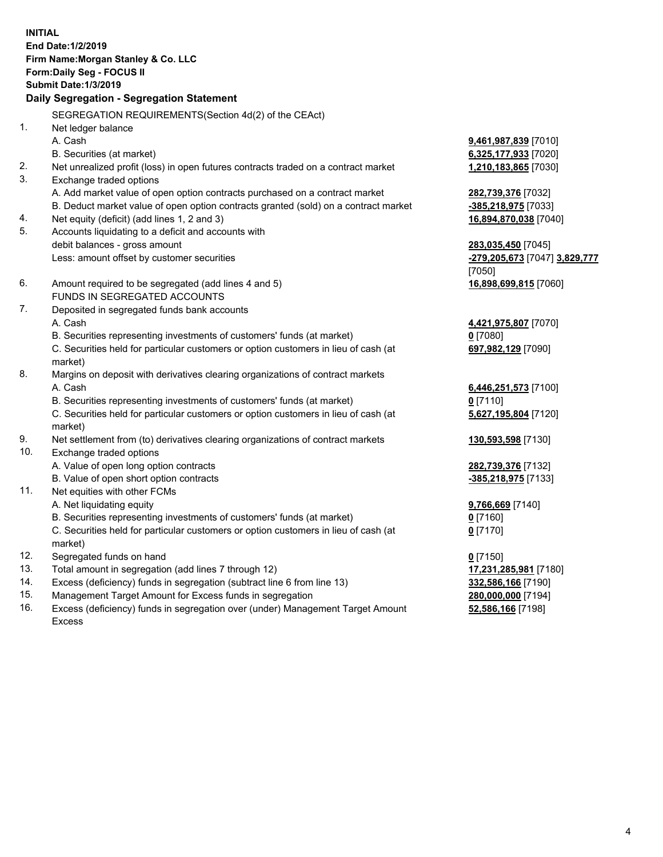**INITIAL End Date:1/2/2019 Firm Name:Morgan Stanley & Co. LLC Form:Daily Seg - FOCUS II Submit Date:1/3/2019 Daily Segregation - Segregation Statement** SEGREGATION REQUIREMENTS(Section 4d(2) of the CEAct) 1. Net ledger balance A. Cash **9,461,987,839** [7010] B. Securities (at market) **6,325,177,933** [7020] 2. Net unrealized profit (loss) in open futures contracts traded on a contract market **1,210,183,865** [7030] 3. Exchange traded options A. Add market value of open option contracts purchased on a contract market **282,739,376** [7032] B. Deduct market value of open option contracts granted (sold) on a contract market **-385,218,975** [7033] 4. Net equity (deficit) (add lines 1, 2 and 3) **16,894,870,038** [7040] 5. Accounts liquidating to a deficit and accounts with debit balances - gross amount **283,035,450** [7045] Less: amount offset by customer securities **-279,205,673** [7047] **3,829,777** [7050] 6. Amount required to be segregated (add lines 4 and 5) **16,898,699,815** [7060] FUNDS IN SEGREGATED ACCOUNTS 7. Deposited in segregated funds bank accounts A. Cash **4,421,975,807** [7070] B. Securities representing investments of customers' funds (at market) **0** [7080] C. Securities held for particular customers or option customers in lieu of cash (at market) **697,982,129** [7090] 8. Margins on deposit with derivatives clearing organizations of contract markets A. Cash **6,446,251,573** [7100] B. Securities representing investments of customers' funds (at market) **0** [7110] C. Securities held for particular customers or option customers in lieu of cash (at market) **5,627,195,804** [7120] 9. Net settlement from (to) derivatives clearing organizations of contract markets **130,593,598** [7130] 10. Exchange traded options A. Value of open long option contracts **282,739,376** [7132] B. Value of open short option contracts **-385,218,975** [7133] 11. Net equities with other FCMs A. Net liquidating equity **9,766,669** [7140] B. Securities representing investments of customers' funds (at market) **0** [7160] C. Securities held for particular customers or option customers in lieu of cash (at market) **0** [7170] 12. Segregated funds on hand **0** [7150] 13. Total amount in segregation (add lines 7 through 12) **17,231,285,981** [7180] 14. Excess (deficiency) funds in segregation (subtract line 6 from line 13) **332,586,166** [7190]

- 15. Management Target Amount for Excess funds in segregation **280,000,000** [7194]
- 16. Excess (deficiency) funds in segregation over (under) Management Target Amount Excess

**52,586,166** [7198]